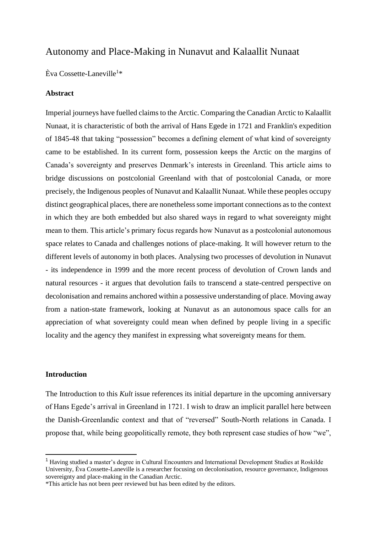# Autonomy and Place-Making in Nunavut and Kalaallit Nunaat

Èva Cossette-Laneville<sup>1</sup>\*

## **Abstract**

Imperial journeys have fuelled claims to the Arctic. Comparing the Canadian Arctic to Kalaallit Nunaat, it is characteristic of both the arrival of Hans Egede in 1721 and Franklin's expedition of 1845-48 that taking "possession" becomes a defining element of what kind of sovereignty came to be established. In its current form, possession keeps the Arctic on the margins of Canada's sovereignty and preserves Denmark's interests in Greenland. This article aims to bridge discussions on postcolonial Greenland with that of postcolonial Canada, or more precisely, the Indigenous peoples of Nunavut and Kalaallit Nunaat. While these peoples occupy distinct geographical places, there are nonetheless some important connections as to the context in which they are both embedded but also shared ways in regard to what sovereignty might mean to them. This article's primary focus regards how Nunavut as a postcolonial autonomous space relates to Canada and challenges notions of place-making. It will however return to the different levels of autonomy in both places. Analysing two processes of devolution in Nunavut - its independence in 1999 and the more recent process of devolution of Crown lands and natural resources - it argues that devolution fails to transcend a state-centred perspective on decolonisation and remains anchored within a possessive understanding of place. Moving away from a nation-state framework, looking at Nunavut as an autonomous space calls for an appreciation of what sovereignty could mean when defined by people living in a specific locality and the agency they manifest in expressing what sovereignty means for them.

## **Introduction**

-

The Introduction to this *Kult* issue references its initial departure in the upcoming anniversary of Hans Egede's arrival in Greenland in 1721. I wish to draw an implicit parallel here between the Danish-Greenlandic context and that of "reversed" South-North relations in Canada. I propose that, while being geopolitically remote, they both represent case studies of how "we",

<sup>1</sup> Having studied a master's degree in Cultural Encounters and International Development Studies at Roskilde University, Èva Cossette-Laneville is a researcher focusing on decolonisation, resource governance, Indigenous sovereignty and place-making in the Canadian Arctic.

<sup>\*</sup>This article has not been peer reviewed but has been edited by the editors.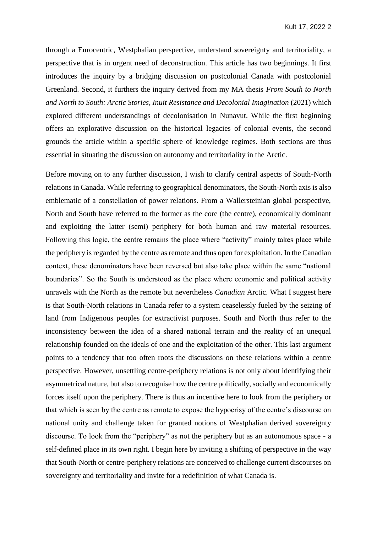through a Eurocentric, Westphalian perspective, understand sovereignty and territoriality, a perspective that is in urgent need of deconstruction. This article has two beginnings. It first introduces the inquiry by a bridging discussion on postcolonial Canada with postcolonial Greenland. Second, it furthers the inquiry derived from my MA thesis *From South to North and North to South: Arctic Stories, Inuit Resistance and Decolonial Imagination* (2021) which explored different understandings of decolonisation in Nunavut. While the first beginning offers an explorative discussion on the historical legacies of colonial events, the second grounds the article within a specific sphere of knowledge regimes. Both sections are thus essential in situating the discussion on autonomy and territoriality in the Arctic.

Before moving on to any further discussion, I wish to clarify central aspects of South-North relations in Canada. While referring to geographical denominators, the South-North axis is also emblematic of a constellation of power relations. From a Wallersteinian global perspective, North and South have referred to the former as the core (the centre), economically dominant and exploiting the latter (semi) periphery for both human and raw material resources. Following this logic, the centre remains the place where "activity" mainly takes place while the periphery is regarded by the centre as remote and thus open for exploitation. In the Canadian context, these denominators have been reversed but also take place within the same "national boundaries". So the South is understood as the place where economic and political activity unravels with the North as the remote but nevertheless *Canadian* Arctic. What I suggest here is that South-North relations in Canada refer to a system ceaselessly fueled by the seizing of land from Indigenous peoples for extractivist purposes. South and North thus refer to the inconsistency between the idea of a shared national terrain and the reality of an unequal relationship founded on the ideals of one and the exploitation of the other. This last argument points to a tendency that too often roots the discussions on these relations within a centre perspective. However, unsettling centre-periphery relations is not only about identifying their asymmetrical nature, but also to recognise how the centre politically, socially and economically forces itself upon the periphery. There is thus an incentive here to look from the periphery or that which is seen by the centre as remote to expose the hypocrisy of the centre's discourse on national unity and challenge taken for granted notions of Westphalian derived sovereignty discourse. To look from the "periphery" as not the periphery but as an autonomous space - a self-defined place in its own right. I begin here by inviting a shifting of perspective in the way that South-North or centre-periphery relations are conceived to challenge current discourses on sovereignty and territoriality and invite for a redefinition of what Canada is.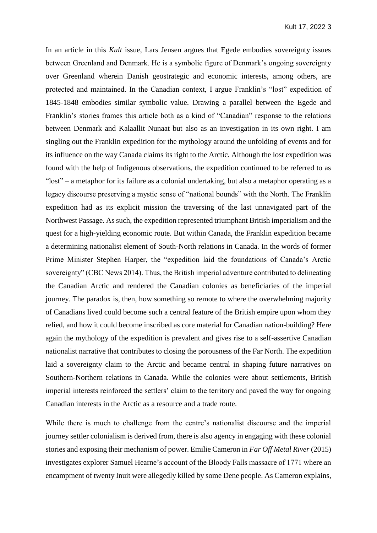In an article in this *Kult* issue, Lars Jensen argues that Egede embodies sovereignty issues between Greenland and Denmark. He is a symbolic figure of Denmark's ongoing sovereignty over Greenland wherein Danish geostrategic and economic interests, among others, are protected and maintained. In the Canadian context, I argue Franklin's "lost" expedition of 1845-1848 embodies similar symbolic value. Drawing a parallel between the Egede and Franklin's stories frames this article both as a kind of "Canadian" response to the relations between Denmark and Kalaallit Nunaat but also as an investigation in its own right. I am singling out the Franklin expedition for the mythology around the unfolding of events and for its influence on the way Canada claims its right to the Arctic. Although the lost expedition was found with the help of Indigenous observations, the expedition continued to be referred to as "lost" – a metaphor for its failure as a colonial undertaking, but also a metaphor operating as a legacy discourse preserving a mystic sense of "national bounds" with the North. The Franklin expedition had as its explicit mission the traversing of the last unnavigated part of the Northwest Passage. As such, the expedition represented triumphant British imperialism and the quest for a high-yielding economic route. But within Canada, the Franklin expedition became a determining nationalist element of South-North relations in Canada. In the words of former Prime Minister Stephen Harper, the "expedition laid the foundations of Canada's Arctic sovereignty" (CBC News 2014). Thus, the British imperial adventure contributed to delineating the Canadian Arctic and rendered the Canadian colonies as beneficiaries of the imperial journey. The paradox is, then, how something so remote to where the overwhelming majority of Canadians lived could become such a central feature of the British empire upon whom they relied, and how it could become inscribed as core material for Canadian nation-building? Here again the mythology of the expedition is prevalent and gives rise to a self-assertive Canadian nationalist narrative that contributes to closing the porousness of the Far North. The expedition laid a sovereignty claim to the Arctic and became central in shaping future narratives on Southern-Northern relations in Canada. While the colonies were about settlements, British imperial interests reinforced the settlers' claim to the territory and paved the way for ongoing Canadian interests in the Arctic as a resource and a trade route.

While there is much to challenge from the centre's nationalist discourse and the imperial journey settler colonialism is derived from, there is also agency in engaging with these colonial stories and exposing their mechanism of power. Emilie Cameron in *Far Off Metal River* (2015) investigates explorer Samuel Hearne's account of the Bloody Falls massacre of 1771 where an encampment of twenty Inuit were allegedly killed by some Dene people. As Cameron explains,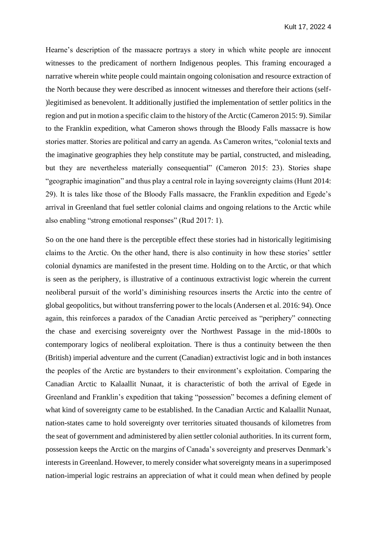Hearne's description of the massacre portrays a story in which white people are innocent witnesses to the predicament of northern Indigenous peoples. This framing encouraged a narrative wherein white people could maintain ongoing colonisation and resource extraction of the North because they were described as innocent witnesses and therefore their actions (self- )legitimised as benevolent. It additionally justified the implementation of settler politics in the region and put in motion a specific claim to the history of the Arctic (Cameron 2015: 9). Similar to the Franklin expedition, what Cameron shows through the Bloody Falls massacre is how stories matter. Stories are political and carry an agenda. As Cameron writes, "colonial texts and the imaginative geographies they help constitute may be partial, constructed, and misleading, but they are nevertheless materially consequential" (Cameron 2015: 23). Stories shape "geographic imagination" and thus play a central role in laying sovereignty claims (Hunt 2014: 29). It is tales like those of the Bloody Falls massacre, the Franklin expedition and Egede's arrival in Greenland that fuel settler colonial claims and ongoing relations to the Arctic while also enabling "strong emotional responses" (Rud 2017: 1).

So on the one hand there is the perceptible effect these stories had in historically legitimising claims to the Arctic. On the other hand, there is also continuity in how these stories' settler colonial dynamics are manifested in the present time. Holding on to the Arctic, or that which is seen as the periphery, is illustrative of a continuous extractivist logic wherein the current neoliberal pursuit of the world's diminishing resources inserts the Arctic into the centre of global geopolitics, but without transferring power to the locals (Andersen et al. 2016: 94). Once again, this reinforces a paradox of the Canadian Arctic perceived as "periphery" connecting the chase and exercising sovereignty over the Northwest Passage in the mid-1800s to contemporary logics of neoliberal exploitation. There is thus a continuity between the then (British) imperial adventure and the current (Canadian) extractivist logic and in both instances the peoples of the Arctic are bystanders to their environment's exploitation. Comparing the Canadian Arctic to Kalaallit Nunaat, it is characteristic of both the arrival of Egede in Greenland and Franklin's expedition that taking "possession" becomes a defining element of what kind of sovereignty came to be established. In the Canadian Arctic and Kalaallit Nunaat, nation-states came to hold sovereignty over territories situated thousands of kilometres from the seat of government and administered by alien settler colonial authorities. In its current form, possession keeps the Arctic on the margins of Canada's sovereignty and preserves Denmark's interests in Greenland. However, to merely consider what sovereignty means in a superimposed nation-imperial logic restrains an appreciation of what it could mean when defined by people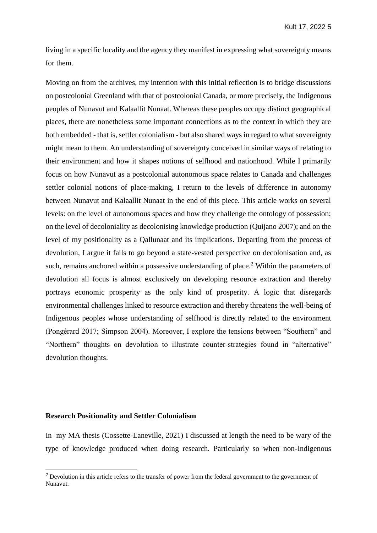living in a specific locality and the agency they manifest in expressing what sovereignty means for them.

Moving on from the archives, my intention with this initial reflection is to bridge discussions on postcolonial Greenland with that of postcolonial Canada, or more precisely, the Indigenous peoples of Nunavut and Kalaallit Nunaat. Whereas these peoples occupy distinct geographical places, there are nonetheless some important connections as to the context in which they are both embedded - that is, settler colonialism - but also shared ways in regard to what sovereignty might mean to them. An understanding of sovereignty conceived in similar ways of relating to their environment and how it shapes notions of selfhood and nationhood. While I primarily focus on how Nunavut as a postcolonial autonomous space relates to Canada and challenges settler colonial notions of place-making, I return to the levels of difference in autonomy between Nunavut and Kalaallit Nunaat in the end of this piece. This article works on several levels: on the level of autonomous spaces and how they challenge the ontology of possession; on the level of decoloniality as decolonising knowledge production (Quijano 2007); and on the level of my positionality as a Qallunaat and its implications. Departing from the process of devolution, I argue it fails to go beyond a state-vested perspective on decolonisation and, as such, remains anchored within a possessive understanding of place.<sup>2</sup> Within the parameters of devolution all focus is almost exclusively on developing resource extraction and thereby portrays economic prosperity as the only kind of prosperity. A logic that disregards environmental challenges linked to resource extraction and thereby threatens the well-being of Indigenous peoples whose understanding of selfhood is directly related to the environment (Pongérard 2017; Simpson 2004). Moreover, I explore the tensions between "Southern" and "Northern" thoughts on devolution to illustrate counter-strategies found in "alternative" devolution thoughts.

#### **Research Positionality and Settler Colonialism**

-

In my MA thesis (Cossette-Laneville, 2021) I discussed at length the need to be wary of the type of knowledge produced when doing research. Particularly so when non-Indigenous

<sup>&</sup>lt;sup>2</sup> Devolution in this article refers to the transfer of power from the federal government to the government of Nunavut.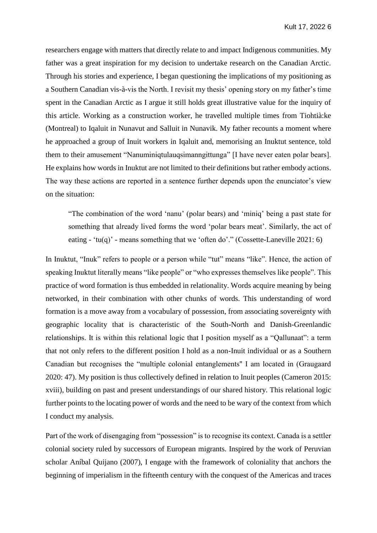researchers engage with matters that directly relate to and impact Indigenous communities. My father was a great inspiration for my decision to undertake research on the Canadian Arctic. Through his stories and experience, I began questioning the implications of my positioning as a Southern Canadian vis-à-vis the North. I revisit my thesis' opening story on my father's time spent in the Canadian Arctic as I argue it still holds great illustrative value for the inquiry of this article. Working as a construction worker, he travelled multiple times from Tiohtià:ke (Montreal) to Iqaluit in Nunavut and Salluit in Nunavik. My father recounts a moment where he approached a group of Inuit workers in Iqaluit and, memorising an Inuktut sentence, told them to their amusement "Nanuminiqtulauqsimanngittunga" [I have never eaten polar bears]. He explains how words in Inuktut are not limited to their definitions but rather embody actions. The way these actions are reported in a sentence further depends upon the enunciator's view on the situation:

"The combination of the word 'nanu' (polar bears) and 'miniq' being a past state for something that already lived forms the word 'polar bears meat'. Similarly, the act of eating - 'tu(q)' - means something that we 'often do'." (Cossette-Laneville 2021: 6)

In Inuktut, "Inuk" refers to people or a person while "tut" means "like". Hence, the action of speaking Inuktut literally means "like people" or "who expresses themselves like people". This practice of word formation is thus embedded in relationality. Words acquire meaning by being networked, in their combination with other chunks of words. This understanding of word formation is a move away from a vocabulary of possession, from associating sovereignty with geographic locality that is characteristic of the South-North and Danish-Greenlandic relationships. It is within this relational logic that I position myself as a "Qallunaat": a term that not only refers to the different position I hold as a non-Inuit individual or as a Southern Canadian but recognises the "multiple colonial entanglements'' I am located in (Graugaard 2020: 47). My position is thus collectively defined in relation to Inuit peoples (Cameron 2015: xviii), building on past and present understandings of our shared history. This relational logic further points to the locating power of words and the need to be wary of the context from which I conduct my analysis.

Part of the work of disengaging from "possession" is to recognise its context. Canada is a settler colonial society ruled by successors of European migrants. Inspired by the work of Peruvian scholar Aníbal Quijano (2007), I engage with the framework of coloniality that anchors the beginning of imperialism in the fifteenth century with the conquest of the Americas and traces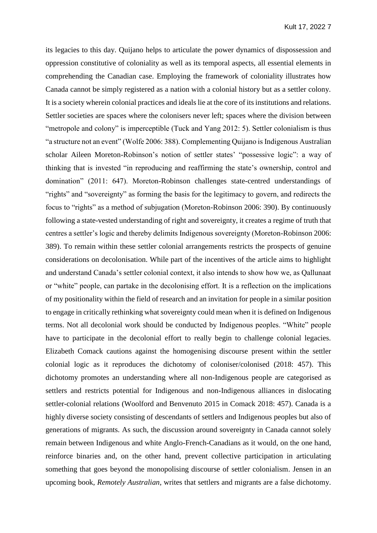its legacies to this day. Quijano helps to articulate the power dynamics of dispossession and oppression constitutive of coloniality as well as its temporal aspects, all essential elements in comprehending the Canadian case. Employing the framework of coloniality illustrates how Canada cannot be simply registered as a nation with a colonial history but as a settler colony. It is a society wherein colonial practices and ideals lie at the core of its institutions and relations. Settler societies are spaces where the colonisers never left; spaces where the division between "metropole and colony" is imperceptible (Tuck and Yang 2012: 5). Settler colonialism is thus "a structure not an event" (Wolfe 2006: 388). Complementing Quijano is Indigenous Australian scholar Aileen Moreton-Robinson's notion of settler states' "possessive logic": a way of thinking that is invested "in reproducing and reaffirming the state's ownership, control and domination" (2011: 647). Moreton-Robinson challenges state-centred understandings of "rights" and "sovereignty" as forming the basis for the legitimacy to govern, and redirects the focus to "rights" as a method of subjugation (Moreton-Robinson 2006: 390). By continuously following a state-vested understanding of right and sovereignty, it creates a regime of truth that centres a settler's logic and thereby delimits Indigenous sovereignty (Moreton-Robinson 2006: 389). To remain within these settler colonial arrangements restricts the prospects of genuine considerations on decolonisation. While part of the incentives of the article aims to highlight and understand Canada's settler colonial context, it also intends to show how we, as Qallunaat or "white" people, can partake in the decolonising effort. It is a reflection on the implications of my positionality within the field of research and an invitation for people in a similar position to engage in critically rethinking what sovereignty could mean when it is defined on Indigenous terms. Not all decolonial work should be conducted by Indigenous peoples. "White" people have to participate in the decolonial effort to really begin to challenge colonial legacies. Elizabeth Comack cautions against the homogenising discourse present within the settler colonial logic as it reproduces the dichotomy of coloniser/colonised (2018: 457). This dichotomy promotes an understanding where all non-Indigenous people are categorised as settlers and restricts potential for Indigenous and non-Indigenous alliances in dislocating settler-colonial relations (Woolford and Benvenuto 2015 in Comack 2018: 457). Canada is a highly diverse society consisting of descendants of settlers and Indigenous peoples but also of generations of migrants. As such, the discussion around sovereignty in Canada cannot solely remain between Indigenous and white Anglo-French-Canadians as it would, on the one hand, reinforce binaries and, on the other hand, prevent collective participation in articulating something that goes beyond the monopolising discourse of settler colonialism. Jensen in an upcoming book, *Remotely Australian*, writes that settlers and migrants are a false dichotomy.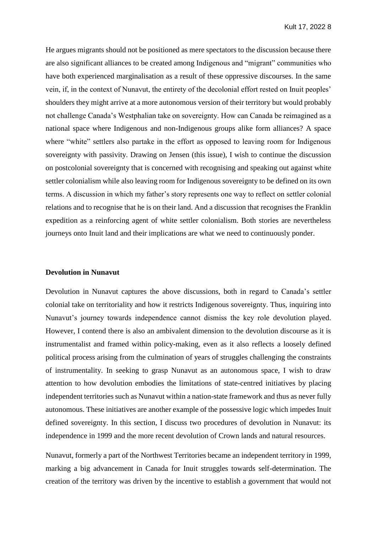He argues migrants should not be positioned as mere spectators to the discussion because there are also significant alliances to be created among Indigenous and "migrant" communities who have both experienced marginalisation as a result of these oppressive discourses. In the same vein, if, in the context of Nunavut, the entirety of the decolonial effort rested on Inuit peoples' shoulders they might arrive at a more autonomous version of their territory but would probably not challenge Canada's Westphalian take on sovereignty. How can Canada be reimagined as a national space where Indigenous and non-Indigenous groups alike form alliances? A space where "white" settlers also partake in the effort as opposed to leaving room for Indigenous sovereignty with passivity. Drawing on Jensen (this issue), I wish to continue the discussion on postcolonial sovereignty that is concerned with recognising and speaking out against white settler colonialism while also leaving room for Indigenous sovereignty to be defined on its own terms. A discussion in which my father's story represents one way to reflect on settler colonial relations and to recognise that he is on their land. And a discussion that recognises the Franklin expedition as a reinforcing agent of white settler colonialism. Both stories are nevertheless journeys onto Inuit land and their implications are what we need to continuously ponder.

#### **Devolution in Nunavut**

Devolution in Nunavut captures the above discussions, both in regard to Canada's settler colonial take on territoriality and how it restricts Indigenous sovereignty. Thus, inquiring into Nunavut's journey towards independence cannot dismiss the key role devolution played. However, I contend there is also an ambivalent dimension to the devolution discourse as it is instrumentalist and framed within policy-making, even as it also reflects a loosely defined political process arising from the culmination of years of struggles challenging the constraints of instrumentality. In seeking to grasp Nunavut as an autonomous space, I wish to draw attention to how devolution embodies the limitations of state-centred initiatives by placing independent territories such as Nunavut within a nation-state framework and thus as never fully autonomous. These initiatives are another example of the possessive logic which impedes Inuit defined sovereignty. In this section, I discuss two procedures of devolution in Nunavut: its independence in 1999 and the more recent devolution of Crown lands and natural resources.

Nunavut, formerly a part of the Northwest Territories became an independent territory in 1999, marking a big advancement in Canada for Inuit struggles towards self-determination. The creation of the territory was driven by the incentive to establish a government that would not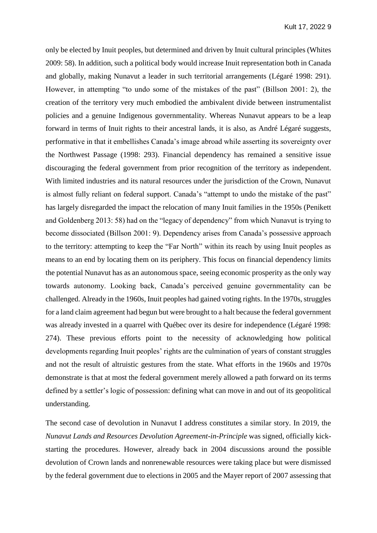only be elected by Inuit peoples, but determined and driven by Inuit cultural principles (Whites 2009: 58). In addition, such a political body would increase Inuit representation both in Canada and globally, making Nunavut a leader in such territorial arrangements (Légaré 1998: 291). However, in attempting "to undo some of the mistakes of the past" (Billson 2001: 2), the creation of the territory very much embodied the ambivalent divide between instrumentalist policies and a genuine Indigenous governmentality. Whereas Nunavut appears to be a leap forward in terms of Inuit rights to their ancestral lands, it is also, as André Légaré suggests, performative in that it embellishes Canada's image abroad while asserting its sovereignty over the Northwest Passage (1998: 293). Financial dependency has remained a sensitive issue discouraging the federal government from prior recognition of the territory as independent. With limited industries and its natural resources under the jurisdiction of the Crown, Nunavut is almost fully reliant on federal support. Canada's "attempt to undo the mistake of the past" has largely disregarded the impact the relocation of many Inuit families in the 1950s (Penikett and Goldenberg 2013: 58) had on the "legacy of dependency" from which Nunavut is trying to become dissociated (Billson 2001: 9). Dependency arises from Canada's possessive approach to the territory: attempting to keep the "Far North" within its reach by using Inuit peoples as means to an end by locating them on its periphery. This focus on financial dependency limits the potential Nunavut has as an autonomous space, seeing economic prosperity as the only way towards autonomy. Looking back, Canada's perceived genuine governmentality can be challenged. Already in the 1960s, Inuit peoples had gained voting rights. In the 1970s, struggles for a land claim agreement had begun but were brought to a halt because the federal government was already invested in a quarrel with Québec over its desire for independence (Légaré 1998: 274). These previous efforts point to the necessity of acknowledging how political developments regarding Inuit peoples' rights are the culmination of years of constant struggles and not the result of altruistic gestures from the state. What efforts in the 1960s and 1970s demonstrate is that at most the federal government merely allowed a path forward on its terms defined by a settler's logic of possession: defining what can move in and out of its geopolitical understanding.

The second case of devolution in Nunavut I address constitutes a similar story. In 2019, the *Nunavut Lands and Resources Devolution Agreement-in-Principle* was signed, officially kickstarting the procedures. However, already back in 2004 discussions around the possible devolution of Crown lands and nonrenewable resources were taking place but were dismissed by the federal government due to elections in 2005 and the Mayer report of 2007 assessing that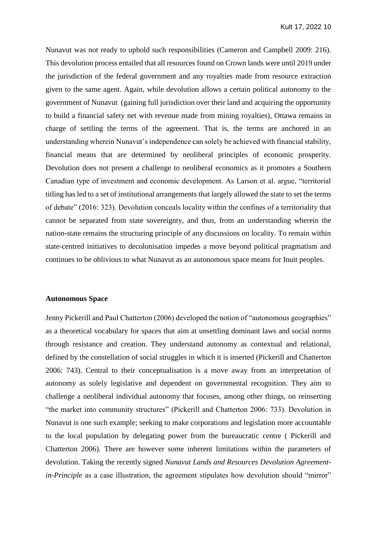Nunavut was not ready to uphold such responsibilities (Cameron and Campbell 2009: 216). This devolution process entailed that all resources found on Crown lands were until 2019 under the jurisdiction of the federal government and any royalties made from resource extraction given to the same agent. Again, while devolution allows a certain political autonomy to the government of Nunavut (gaining full jurisdiction over their land and acquiring the opportunity to build a financial safety net with revenue made from mining royalties), Ottawa remains in charge of settling the terms of the agreement. That is, the terms are anchored in an understanding wherein Nunavut's independence can solely be achieved with financial stability, financial means that are determined by neoliberal principles of economic prosperity. Devolution does not present a challenge to neoliberal economics as it promotes a Southern Canadian type of investment and economic development. As Larson et al. argue, "territorial titling has led to a set of institutional arrangements that largely allowed the state to set the terms of debate" (2016: 323). Devolution conceals locality within the confines of a territoriality that cannot be separated from state sovereignty, and thus, from an understanding wherein the nation-state remains the structuring principle of any discussions on locality. To remain within state-centred initiatives to decolonisation impedes a move beyond political pragmatism and continues to be oblivious to what Nunavut as an autonomous space means for Inuit peoples.

#### **Autonomous Space**

Jenny Pickerill and Paul Chatterton (2006) developed the notion of "autonomous geographies" as a theoretical vocabulary for spaces that aim at unsettling dominant laws and social norms through resistance and creation. They understand autonomy as contextual and relational, defined by the constellation of social struggles in which it is inserted (Pickerill and Chatterton 2006: 743). Central to their conceptualisation is a move away from an interpretation of autonomy as solely legislative and dependent on governmental recognition. They aim to challenge a neoliberal individual autonomy that focuses, among other things, on reinserting "the market into community structures" (Pickerill and Chatterton 2006: 733). Devolution in Nunavut is one such example; seeking to make corporations and legislation more accountable to the local population by delegating power from the bureaucratic centre ( Pickerill and Chatterton 2006). There are however some inherent limitations within the parameters of devolution. Taking the recently signed *Nunavut Lands and Resources Devolution Agreementin-Principle* as a case illustration, the agreement stipulates how devolution should "mirror"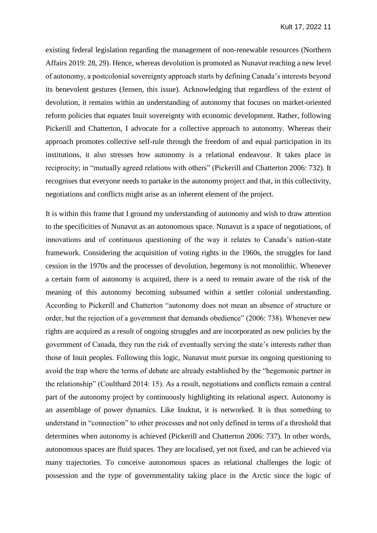existing federal legislation regarding the management of non-renewable resources (Northern Affairs 2019: 28, 29). Hence, whereas devolution is promoted as Nunavut reaching a new level of autonomy, a postcolonial sovereignty approach starts by defining Canada's interests beyond its benevolent gestures (Jensen, this issue). Acknowledging that regardless of the extent of devolution, it remains within an understanding of autonomy that focuses on market-oriented reform policies that equates Inuit sovereignty with economic development. Rather, following Pickerill and Chatterton, I advocate for a collective approach to autonomy. Whereas their approach promotes collective self-rule through the freedom of and equal participation in its institutions, it also stresses how autonomy is a relational endeavour. It takes place in reciprocity; in "mutually agreed relations with others" (Pickerill and Chatterton 2006: 732). It recognises that everyone needs to partake in the autonomy project and that, in this collectivity, negotiations and conflicts might arise as an inherent element of the project.

It is within this frame that I ground my understanding of autonomy and wish to draw attention to the specificities of Nunavut as an autonomous space. Nunavut is a space of negotiations, of innovations and of continuous questioning of the way it relates to Canada's nation-state framework. Considering the acquisition of voting rights in the 1960s, the struggles for land cession in the 1970s and the processes of devolution, hegemony is not monolithic. Whenever a certain form of autonomy is acquired, there is a need to remain aware of the risk of the meaning of this autonomy becoming subsumed within a settler colonial understanding. According to Pickerill and Chatterton "autonomy does not mean an absence of structure or order, but the rejection of a government that demands obedience" (2006: 738). Whenever new rights are acquired as a result of ongoing struggles and are incorporated as new policies by the government of Canada, they run the risk of eventually serving the state's interests rather than those of Inuit peoples. Following this logic, Nunavut must pursue its ongoing questioning to avoid the trap where the terms of debate are already established by the "hegemonic partner in the relationship" (Coulthard 2014: 15). As a result, negotiations and conflicts remain a central part of the autonomy project by continuously highlighting its relational aspect. Autonomy is an assemblage of power dynamics. Like Inuktut, it is networked. It is thus something to understand in "connection" to other processes and not only defined in terms of a threshold that determines when autonomy is achieved (Pickerill and Chatterton 2006: 737). In other words, autonomous spaces are fluid spaces. They are localised, yet not fixed, and can be achieved via many trajectories. To conceive autonomous spaces as relational challenges the logic of possession and the type of governmentality taking place in the Arctic since the logic of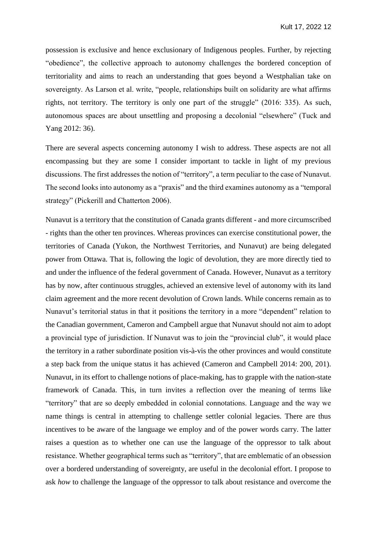possession is exclusive and hence exclusionary of Indigenous peoples. Further, by rejecting "obedience", the collective approach to autonomy challenges the bordered conception of territoriality and aims to reach an understanding that goes beyond a Westphalian take on sovereignty. As Larson et al. write, "people, relationships built on solidarity are what affirms rights, not territory. The territory is only one part of the struggle" (2016: 335). As such, autonomous spaces are about unsettling and proposing a decolonial "elsewhere" (Tuck and Yang 2012: 36).

There are several aspects concerning autonomy I wish to address. These aspects are not all encompassing but they are some I consider important to tackle in light of my previous discussions. The first addresses the notion of "territory", a term peculiar to the case of Nunavut. The second looks into autonomy as a "praxis" and the third examines autonomy as a "temporal strategy" (Pickerill and Chatterton 2006).

Nunavut is a territory that the constitution of Canada grants different - and more circumscribed - rights than the other ten provinces. Whereas provinces can exercise constitutional power, the territories of Canada (Yukon, the Northwest Territories, and Nunavut) are being delegated power from Ottawa. That is, following the logic of devolution, they are more directly tied to and under the influence of the federal government of Canada. However, Nunavut as a territory has by now, after continuous struggles, achieved an extensive level of autonomy with its land claim agreement and the more recent devolution of Crown lands. While concerns remain as to Nunavut's territorial status in that it positions the territory in a more "dependent" relation to the Canadian government, Cameron and Campbell argue that Nunavut should not aim to adopt a provincial type of jurisdiction. If Nunavut was to join the "provincial club", it would place the territory in a rather subordinate position vis-à-vis the other provinces and would constitute a step back from the unique status it has achieved (Cameron and Campbell 2014: 200, 201). Nunavut, in its effort to challenge notions of place-making, has to grapple with the nation-state framework of Canada. This, in turn invites a reflection over the meaning of terms like "territory" that are so deeply embedded in colonial connotations. Language and the way we name things is central in attempting to challenge settler colonial legacies. There are thus incentives to be aware of the language we employ and of the power words carry. The latter raises a question as to whether one can use the language of the oppressor to talk about resistance. Whether geographical terms such as "territory", that are emblematic of an obsession over a bordered understanding of sovereignty, are useful in the decolonial effort. I propose to ask *how* to challenge the language of the oppressor to talk about resistance and overcome the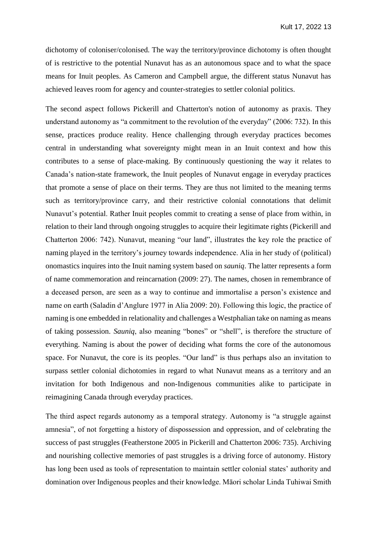dichotomy of coloniser/colonised. The way the territory/province dichotomy is often thought of is restrictive to the potential Nunavut has as an autonomous space and to what the space means for Inuit peoples. As Cameron and Campbell argue, the different status Nunavut has achieved leaves room for agency and counter-strategies to settler colonial politics.

The second aspect follows Pickerill and Chatterton's notion of autonomy as praxis. They understand autonomy as "a commitment to the revolution of the everyday" (2006: 732). In this sense, practices produce reality. Hence challenging through everyday practices becomes central in understanding what sovereignty might mean in an Inuit context and how this contributes to a sense of place-making. By continuously questioning the way it relates to Canada's nation-state framework, the Inuit peoples of Nunavut engage in everyday practices that promote a sense of place on their terms. They are thus not limited to the meaning terms such as territory/province carry, and their restrictive colonial connotations that delimit Nunavut's potential. Rather Inuit peoples commit to creating a sense of place from within, in relation to their land through ongoing struggles to acquire their legitimate rights (Pickerill and Chatterton 2006: 742). Nunavut, meaning "our land", illustrates the key role the practice of naming played in the territory's journey towards independence. Alia in her study of (political) onomastics inquires into the Inuit naming system based on *sauniq*. The latter represents a form of name commemoration and reincarnation (2009: 27). The names, chosen in remembrance of a deceased person, are seen as a way to continue and immortalise a person's existence and name on earth (Saladin d'Anglure 1977 in Alia 2009: 20). Following this logic, the practice of naming is one embedded in relationality and challenges a Westphalian take on naming as means of taking possession. *Sauniq*, also meaning "bones" or "shell", is therefore the structure of everything. Naming is about the power of deciding what forms the core of the autonomous space. For Nunavut, the core is its peoples. "Our land" is thus perhaps also an invitation to surpass settler colonial dichotomies in regard to what Nunavut means as a territory and an invitation for both Indigenous and non-Indigenous communities alike to participate in reimagining Canada through everyday practices.

The third aspect regards autonomy as a temporal strategy. Autonomy is "a struggle against amnesia", of not forgetting a history of dispossession and oppression, and of celebrating the success of past struggles (Featherstone 2005 in Pickerill and Chatterton 2006: 735). Archiving and nourishing collective memories of past struggles is a driving force of autonomy. History has long been used as tools of representation to maintain settler colonial states' authority and domination over Indigenous peoples and their knowledge. Māori scholar Linda Tuhiwai Smith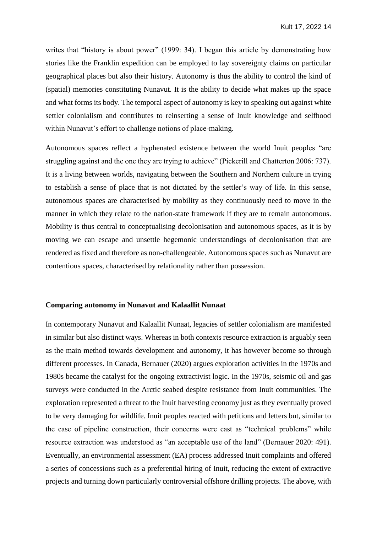writes that "history is about power" (1999: 34). I began this article by demonstrating how stories like the Franklin expedition can be employed to lay sovereignty claims on particular geographical places but also their history. Autonomy is thus the ability to control the kind of (spatial) memories constituting Nunavut. It is the ability to decide what makes up the space and what forms its body. The temporal aspect of autonomy is key to speaking out against white settler colonialism and contributes to reinserting a sense of Inuit knowledge and selfhood within Nunavut's effort to challenge notions of place-making.

Autonomous spaces reflect a hyphenated existence between the world Inuit peoples "are struggling against and the one they are trying to achieve" (Pickerill and Chatterton 2006: 737). It is a living between worlds, navigating between the Southern and Northern culture in trying to establish a sense of place that is not dictated by the settler's way of life. In this sense, autonomous spaces are characterised by mobility as they continuously need to move in the manner in which they relate to the nation-state framework if they are to remain autonomous. Mobility is thus central to conceptualising decolonisation and autonomous spaces, as it is by moving we can escape and unsettle hegemonic understandings of decolonisation that are rendered as fixed and therefore as non-challengeable. Autonomous spaces such as Nunavut are contentious spaces, characterised by relationality rather than possession.

#### **Comparing autonomy in Nunavut and Kalaallit Nunaat**

In contemporary Nunavut and Kalaallit Nunaat, legacies of settler colonialism are manifested in similar but also distinct ways. Whereas in both contexts resource extraction is arguably seen as the main method towards development and autonomy, it has however become so through different processes. In Canada, Bernauer (2020) argues exploration activities in the 1970s and 1980s became the catalyst for the ongoing extractivist logic. In the 1970s, seismic oil and gas surveys were conducted in the Arctic seabed despite resistance from Inuit communities. The exploration represented a threat to the Inuit harvesting economy just as they eventually proved to be very damaging for wildlife. Inuit peoples reacted with petitions and letters but, similar to the case of pipeline construction, their concerns were cast as "technical problems" while resource extraction was understood as "an acceptable use of the land" (Bernauer 2020: 491). Eventually, an environmental assessment (EA) process addressed Inuit complaints and offered a series of concessions such as a preferential hiring of Inuit, reducing the extent of extractive projects and turning down particularly controversial offshore drilling projects. The above, with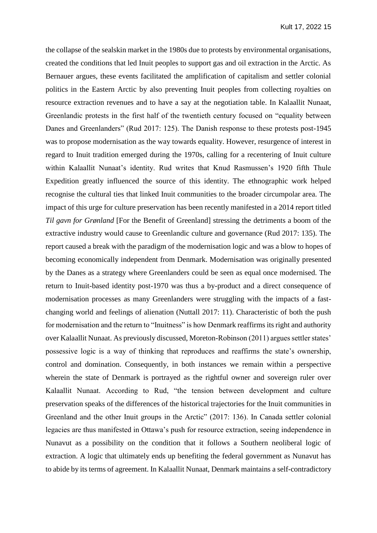the collapse of the sealskin market in the 1980s due to protests by environmental organisations, created the conditions that led Inuit peoples to support gas and oil extraction in the Arctic. As Bernauer argues, these events facilitated the amplification of capitalism and settler colonial politics in the Eastern Arctic by also preventing Inuit peoples from collecting royalties on resource extraction revenues and to have a say at the negotiation table. In Kalaallit Nunaat, Greenlandic protests in the first half of the twentieth century focused on "equality between Danes and Greenlanders" (Rud 2017: 125). The Danish response to these protests post-1945 was to propose modernisation as the way towards equality. However, resurgence of interest in regard to Inuit tradition emerged during the 1970s, calling for a recentering of Inuit culture within Kalaallit Nunaat's identity. Rud writes that Knud Rasmussen's 1920 fifth Thule Expedition greatly influenced the source of this identity. The ethnographic work helped recognise the cultural ties that linked Inuit communities to the broader circumpolar area. The impact of this urge for culture preservation has been recently manifested in a 2014 report titled *Til gavn for Grønland* [For the Benefit of Greenland] stressing the detriments a boom of the extractive industry would cause to Greenlandic culture and governance (Rud 2017: 135). The report caused a break with the paradigm of the modernisation logic and was a blow to hopes of becoming economically independent from Denmark. Modernisation was originally presented by the Danes as a strategy where Greenlanders could be seen as equal once modernised. The return to Inuit-based identity post-1970 was thus a by-product and a direct consequence of modernisation processes as many Greenlanders were struggling with the impacts of a fastchanging world and feelings of alienation (Nuttall 2017: 11). Characteristic of both the push for modernisation and the return to "Inuitness" is how Denmark reaffirms its right and authority over Kalaallit Nunaat. As previously discussed, Moreton-Robinson (2011) argues settler states' possessive logic is a way of thinking that reproduces and reaffirms the state's ownership, control and domination. Consequently, in both instances we remain within a perspective wherein the state of Denmark is portrayed as the rightful owner and sovereign ruler over Kalaallit Nunaat. According to Rud, "the tension between development and culture preservation speaks of the differences of the historical trajectories for the Inuit communities in Greenland and the other Inuit groups in the Arctic" (2017: 136). In Canada settler colonial legacies are thus manifested in Ottawa's push for resource extraction, seeing independence in Nunavut as a possibility on the condition that it follows a Southern neoliberal logic of extraction. A logic that ultimately ends up benefiting the federal government as Nunavut has to abide by its terms of agreement. In Kalaallit Nunaat, Denmark maintains a self-contradictory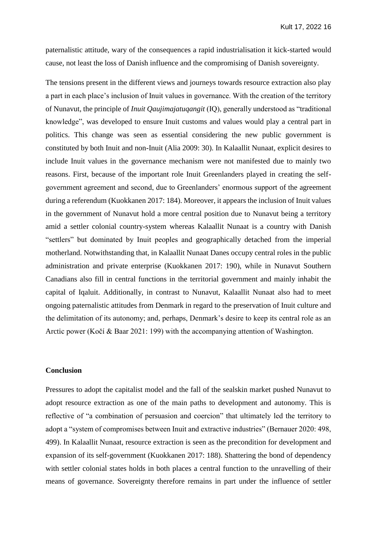paternalistic attitude, wary of the consequences a rapid industrialisation it kick-started would cause, not least the loss of Danish influence and the compromising of Danish sovereignty.

The tensions present in the different views and journeys towards resource extraction also play a part in each place's inclusion of Inuit values in governance. With the creation of the territory of Nunavut, the principle of *Inuit Qaujimajatuqangit* (IQ), generally understood as "traditional knowledge", was developed to ensure Inuit customs and values would play a central part in politics. This change was seen as essential considering the new public government is constituted by both Inuit and non-Inuit (Alia 2009: 30). In Kalaallit Nunaat, explicit desires to include Inuit values in the governance mechanism were not manifested due to mainly two reasons. First, because of the important role Inuit Greenlanders played in creating the selfgovernment agreement and second, due to Greenlanders' enormous support of the agreement during a referendum (Kuokkanen 2017: 184). Moreover, it appears the inclusion of Inuit values in the government of Nunavut hold a more central position due to Nunavut being a territory amid a settler colonial country-system whereas Kalaallit Nunaat is a country with Danish "settlers" but dominated by Inuit peoples and geographically detached from the imperial motherland. Notwithstanding that, in Kalaallit Nunaat Danes occupy central roles in the public administration and private enterprise (Kuokkanen 2017: 190), while in Nunavut Southern Canadians also fill in central functions in the territorial government and mainly inhabit the capital of Iqaluit. Additionally, in contrast to Nunavut, Kalaallit Nunaat also had to meet ongoing paternalistic attitudes from Denmark in regard to the preservation of Inuit culture and the delimitation of its autonomy; and, perhaps, Denmark's desire to keep its central role as an Arctic power (Kočí & Baar 2021: 199) with the accompanying attention of Washington.

## **Conclusion**

Pressures to adopt the capitalist model and the fall of the sealskin market pushed Nunavut to adopt resource extraction as one of the main paths to development and autonomy. This is reflective of "a combination of persuasion and coercion" that ultimately led the territory to adopt a "system of compromises between Inuit and extractive industries" (Bernauer 2020: 498, 499). In Kalaallit Nunaat, resource extraction is seen as the precondition for development and expansion of its self-government (Kuokkanen 2017: 188). Shattering the bond of dependency with settler colonial states holds in both places a central function to the unravelling of their means of governance. Sovereignty therefore remains in part under the influence of settler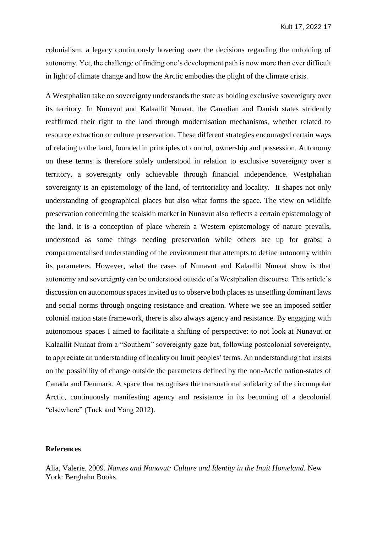colonialism, a legacy continuously hovering over the decisions regarding the unfolding of autonomy. Yet, the challenge of finding one's development path is now more than ever difficult in light of climate change and how the Arctic embodies the plight of the climate crisis.

A Westphalian take on sovereignty understands the state as holding exclusive sovereignty over its territory. In Nunavut and Kalaallit Nunaat, the Canadian and Danish states stridently reaffirmed their right to the land through modernisation mechanisms, whether related to resource extraction or culture preservation. These different strategies encouraged certain ways of relating to the land, founded in principles of control, ownership and possession. Autonomy on these terms is therefore solely understood in relation to exclusive sovereignty over a territory, a sovereignty only achievable through financial independence. Westphalian sovereignty is an epistemology of the land, of territoriality and locality. It shapes not only understanding of geographical places but also what forms the space. The view on wildlife preservation concerning the sealskin market in Nunavut also reflects a certain epistemology of the land. It is a conception of place wherein a Western epistemology of nature prevails, understood as some things needing preservation while others are up for grabs; a compartmentalised understanding of the environment that attempts to define autonomy within its parameters. However, what the cases of Nunavut and Kalaallit Nunaat show is that autonomy and sovereignty can be understood outside of a Westphalian discourse. This article's discussion on autonomous spaces invited us to observe both places as unsettling dominant laws and social norms through ongoing resistance and creation. Where we see an imposed settler colonial nation state framework, there is also always agency and resistance. By engaging with autonomous spaces I aimed to facilitate a shifting of perspective: to not look at Nunavut or Kalaallit Nunaat from a "Southern" sovereignty gaze but, following postcolonial sovereignty, to appreciate an understanding of locality on Inuit peoples' terms. An understanding that insists on the possibility of change outside the parameters defined by the non-Arctic nation-states of Canada and Denmark. A space that recognises the transnational solidarity of the circumpolar Arctic, continuously manifesting agency and resistance in its becoming of a decolonial "elsewhere" (Tuck and Yang 2012).

### **References**

Alia, Valerie. 2009. *Names and Nunavut: Culture and Identity in the Inuit Homeland.* New York: Berghahn Books.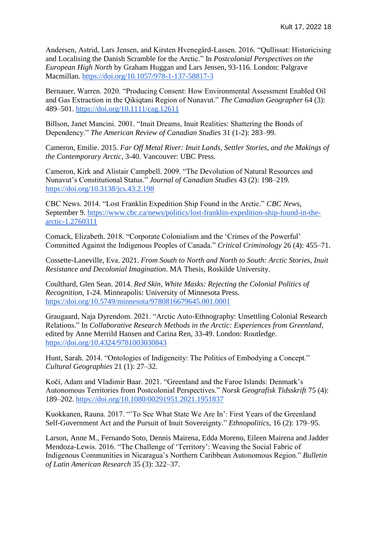Andersen, Astrid, Lars Jensen, and Kirsten Hvenegård-Lassen. 2016. "Qullissat: Historicising and Localising the Danish Scramble for the Arctic." In *Postcolonial Perspectives on the European High North* by Graham Huggan and Lars Jensen, 93-116. London: Palgrave Macmillan.<https://doi.org/10.1057/978-1-137-58817-3>

Bernauer, Warren. 2020. "Producing Consent: How Environmental Assessment Enabled Oil and Gas Extraction in the Qikiqtani Region of Nunavut." *The Canadian Geographer* 64 (3): 489–501.<https://doi.org/10.1111/cag.12611>

Billson, Janet Mancini. 2001. "Inuit Dreams, Inuit Realities: Shattering the Bonds of Dependency." *The American Review of Canadian Studies* 31 (1-2): 283–99.

Cameron, Emilie. 2015. *Far Off Metal River: Inuit Lands, Settler Stories, and the Makings of the Contemporary Arctic,* 3-40. Vancouver: UBC Press.

Cameron, Kirk and Alistair Campbell. 2009. "The Devolution of Natural Resources and Nunavut's Constitutional Status." *Journal of Canadian Studies* 43 (2): 198–219. <https://doi.org/10.3138/jcs.43.2.198>

CBC News. 2014. "Lost Franklin Expedition Ship Found in the Arctic." *CBC News*, September 9. [https://www.cbc.ca/news/politics/lost-franklin-expedition-ship-found-in-the](https://www.cbc.ca/news/politics/lost-franklin-expedition-ship-found-in-the-arctic-1.2760311)[arctic-1.2760311](https://www.cbc.ca/news/politics/lost-franklin-expedition-ship-found-in-the-arctic-1.2760311)

Comack, Elizabeth. 2018. "Corporate Colonialism and the 'Crimes of the Powerful' Committed Against the Indigenous Peoples of Canada." *Critical Criminology* 26 (4): 455–71.

Cossette-Laneville, Eva. 2021. *From South to North and North to South: Arctic Stories, Inuit Resistance and Decolonial Imagination*. MA Thesis, Roskilde University.

Coulthard, Glen Sean. 2014. *Red Skin, White Masks: Rejecting the Colonial Politics of Recognition*, 1-24. Minneapolis: University of Minnesota Press. <https://doi.org/10.5749/minnesota/9780816679645.001.0001>

Graugaard, Naja Dyrendom. 2021. "Arctic Auto-Ethnography: Unsettling Colonial Research Relations." In *Collaborative Research Methods in the Arctic: Experiences from Greenland*, edited by Anne Merrild Hansen and Carina Ren, 33-49. London: Routledge. <https://doi.org/10.4324/9781003030843>

Hunt, Sarah. 2014. "Ontologies of Indigeneity: The Politics of Embodying a Concept." *Cultural Geographies* 21 (1): 27–32.

Kočí, Adam and Vladimir Baar. 2021. "Greenland and the Faroe Islands: Denmark's Autonomous Territories from Postcolonial Perspectives." *Norsk Geografisk Tidsskrift* 75 (4): 189–202.<https://doi.org/10.1080/00291951.2021.1951837>

Kuokkanen, Rauna. 2017. "'To See What State We Are In': First Years of the Greenland Self-Government Act and the Pursuit of Inuit Sovereignty." *Ethnopolitics,* 16 (2): 179–95.

Larson, Anne M., Fernando Soto, Dennis Mairena, Edda Moreno, Eileen Mairena and Jadder Mendoza-Lewis. 2016. "The Challenge of 'Territory': Weaving the Social Fabric of Indigenous Communities in Nicaragua's Northern Caribbean Autonomous Region." *Bulletin of Latin American Research* 35 (3): 322–37.